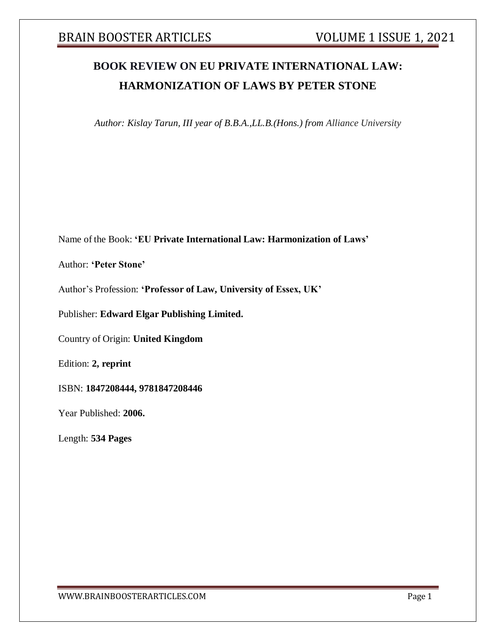# **BOOK REVIEW ON EU PRIVATE INTERNATIONAL LAW: HARMONIZATION OF LAWS BY PETER STONE**

*Author: Kislay Tarun, III year of B.B.A.,LL.B.(Hons.) from Alliance University*

Name of the Book: **'EU Private International Law: Harmonization of Laws'**

Author: **'Peter Stone'**

Author's Profession: **'Professor of Law, University of Essex, UK'**

Publisher: **Edward Elgar Publishing Limited.**

Country of Origin: **United Kingdom**

Edition: **2, reprint**

ISBN: **1847208444, 9781847208446**

Year Published: **2006.**

Length: **534 Pages**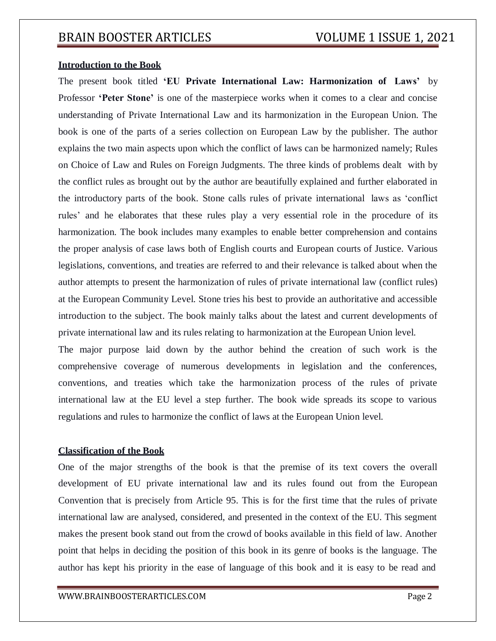### **Introduction to the Book**

The present book titled **'EU Private International Law: Harmonization of Laws'** by Professor **'Peter Stone'** is one of the masterpiece works when it comes to a clear and concise understanding of Private International Law and its harmonization in the European Union. The book is one of the parts of a series collection on European Law by the publisher. The author explains the two main aspects upon which the conflict of laws can be harmonized namely; Rules on Choice of Law and Rules on Foreign Judgments. The three kinds of problems dealt with by the conflict rules as brought out by the author are beautifully explained and further elaborated in the introductory parts of the book. Stone calls rules of private international laws as 'conflict rules' and he elaborates that these rules play a very essential role in the procedure of its harmonization. The book includes many examples to enable better comprehension and contains the proper analysis of case laws both of English courts and European courts of Justice. Various legislations, conventions, and treaties are referred to and their relevance is talked about when the author attempts to present the harmonization of rules of private international law (conflict rules) at the European Community Level. Stone tries his best to provide an authoritative and accessible introduction to the subject. The book mainly talks about the latest and current developments of private international law and its rules relating to harmonization at the European Union level.

The major purpose laid down by the author behind the creation of such work is the comprehensive coverage of numerous developments in legislation and the conferences, conventions, and treaties which take the harmonization process of the rules of private international law at the EU level a step further. The book wide spreads its scope to various regulations and rules to harmonize the conflict of laws at the European Union level.

### **Classification of the Book**

One of the major strengths of the book is that the premise of its text covers the overall development of EU private international law and its rules found out from the European Convention that is precisely from Article 95. This is for the first time that the rules of private international law are analysed, considered, and presented in the context of the EU. This segment makes the present book stand out from the crowd of books available in this field of law. Another point that helps in deciding the position of this book in its genre of books is the language. The author has kept his priority in the ease of language of this book and it is easy to be read and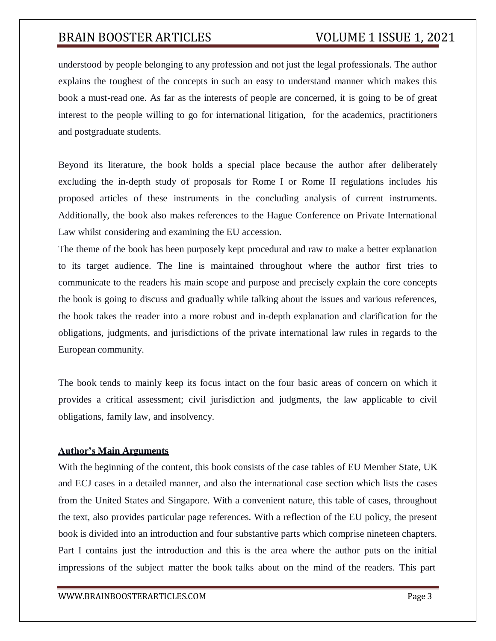understood by people belonging to any profession and not just the legal professionals. The author explains the toughest of the concepts in such an easy to understand manner which makes this book a must-read one. As far as the interests of people are concerned, it is going to be of great interest to the people willing to go for international litigation, for the academics, practitioners and postgraduate students.

Beyond its literature, the book holds a special place because the author after deliberately excluding the in-depth study of proposals for Rome I or Rome II regulations includes his proposed articles of these instruments in the concluding analysis of current instruments. Additionally, the book also makes references to the Hague Conference on Private International Law whilst considering and examining the EU accession.

The theme of the book has been purposely kept procedural and raw to make a better explanation to its target audience. The line is maintained throughout where the author first tries to communicate to the readers his main scope and purpose and precisely explain the core concepts the book is going to discuss and gradually while talking about the issues and various references, the book takes the reader into a more robust and in-depth explanation and clarification for the obligations, judgments, and jurisdictions of the private international law rules in regards to the European community.

The book tends to mainly keep its focus intact on the four basic areas of concern on which it provides a critical assessment; civil jurisdiction and judgments, the law applicable to civil obligations, family law, and insolvency.

### **Author's Main Arguments**

With the beginning of the content, this book consists of the case tables of EU Member State, UK and ECJ cases in a detailed manner, and also the international case section which lists the cases from the United States and Singapore. With a convenient nature, this table of cases, throughout the text, also provides particular page references. With a reflection of the EU policy, the present book is divided into an introduction and four substantive parts which comprise nineteen chapters. Part I contains just the introduction and this is the area where the author puts on the initial impressions of the subject matter the book talks about on the mind of the readers. This part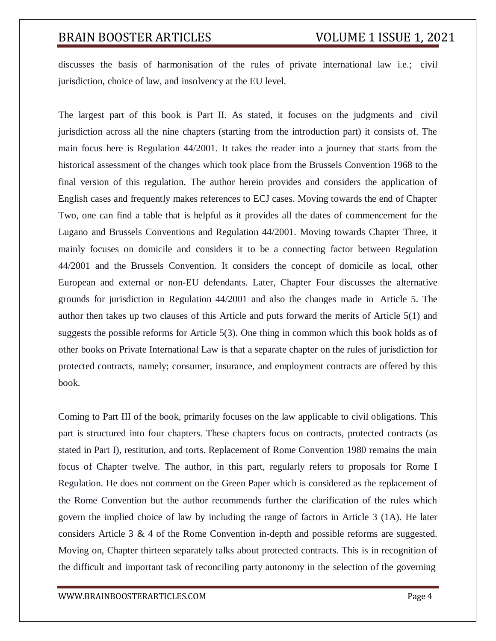discusses the basis of harmonisation of the rules of private international law i.e.; civil jurisdiction, choice of law, and insolvency at the EU level.

The largest part of this book is Part II. As stated, it focuses on the judgments and civil jurisdiction across all the nine chapters (starting from the introduction part) it consists of. The main focus here is Regulation 44/2001. It takes the reader into a journey that starts from the historical assessment of the changes which took place from the Brussels Convention 1968 to the final version of this regulation. The author herein provides and considers the application of English cases and frequently makes references to ECJ cases. Moving towards the end of Chapter Two, one can find a table that is helpful as it provides all the dates of commencement for the Lugano and Brussels Conventions and Regulation 44/2001. Moving towards Chapter Three, it mainly focuses on domicile and considers it to be a connecting factor between Regulation 44/2001 and the Brussels Convention. It considers the concept of domicile as local, other European and external or non-EU defendants. Later, Chapter Four discusses the alternative grounds for jurisdiction in Regulation 44/2001 and also the changes made in Article 5. The author then takes up two clauses of this Article and puts forward the merits of Article 5(1) and suggests the possible reforms for Article 5(3). One thing in common which this book holds as of other books on Private International Law is that a separate chapter on the rules of jurisdiction for protected contracts, namely; consumer, insurance, and employment contracts are offered by this book.

Coming to Part III of the book, primarily focuses on the law applicable to civil obligations. This part is structured into four chapters. These chapters focus on contracts, protected contracts (as stated in Part I), restitution, and torts. Replacement of Rome Convention 1980 remains the main focus of Chapter twelve. The author, in this part, regularly refers to proposals for Rome I Regulation. He does not comment on the Green Paper which is considered as the replacement of the Rome Convention but the author recommends further the clarification of the rules which govern the implied choice of law by including the range of factors in Article 3 (1A). He later considers Article 3 & 4 of the Rome Convention in-depth and possible reforms are suggested. Moving on, Chapter thirteen separately talks about protected contracts. This is in recognition of the difficult and important task of reconciling party autonomy in the selection of the governing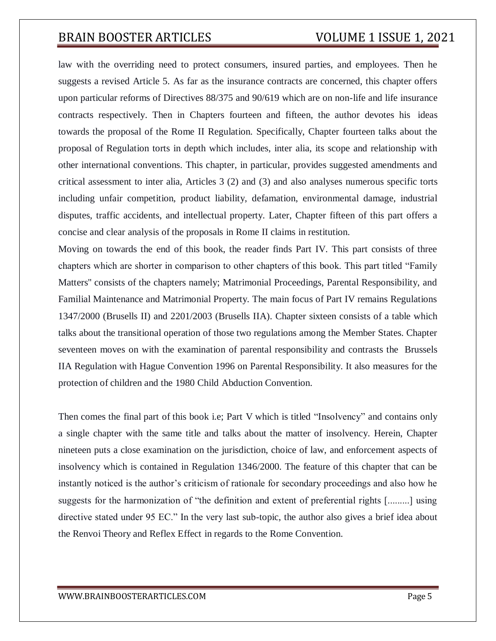law with the overriding need to protect consumers, insured parties, and employees. Then he suggests a revised Article 5. As far as the insurance contracts are concerned, this chapter offers upon particular reforms of Directives 88/375 and 90/619 which are on non-life and life insurance contracts respectively. Then in Chapters fourteen and fifteen, the author devotes his ideas towards the proposal of the Rome II Regulation. Specifically, Chapter fourteen talks about the proposal of Regulation torts in depth which includes, inter alia, its scope and relationship with other international conventions. This chapter, in particular, provides suggested amendments and critical assessment to inter alia, Articles 3 (2) and (3) and also analyses numerous specific torts including unfair competition, product liability, defamation, environmental damage, industrial disputes, traffic accidents, and intellectual property. Later, Chapter fifteen of this part offers a concise and clear analysis of the proposals in Rome II claims in restitution.

Moving on towards the end of this book, the reader finds Part IV. This part consists of three chapters which are shorter in comparison to other chapters of this book. This part titled "Family Matters'' consists of the chapters namely; Matrimonial Proceedings, Parental Responsibility, and Familial Maintenance and Matrimonial Property. The main focus of Part IV remains Regulations 1347/2000 (Brusells II) and 2201/2003 (Brusells IIA). Chapter sixteen consists of a table which talks about the transitional operation of those two regulations among the Member States. Chapter seventeen moves on with the examination of parental responsibility and contrasts the Brussels IIA Regulation with Hague Convention 1996 on Parental Responsibility. It also measures for the protection of children and the 1980 Child Abduction Convention.

Then comes the final part of this book i.e; Part V which is titled "Insolvency" and contains only a single chapter with the same title and talks about the matter of insolvency. Herein, Chapter nineteen puts a close examination on the jurisdiction, choice of law, and enforcement aspects of insolvency which is contained in Regulation 1346/2000. The feature of this chapter that can be instantly noticed is the author's criticism of rationale for secondary proceedings and also how he suggests for the harmonization of "the definition and extent of preferential rights [.........] using directive stated under 95 EC." In the very last sub-topic, the author also gives a brief idea about the Renvoi Theory and Reflex Effect in regards to the Rome Convention.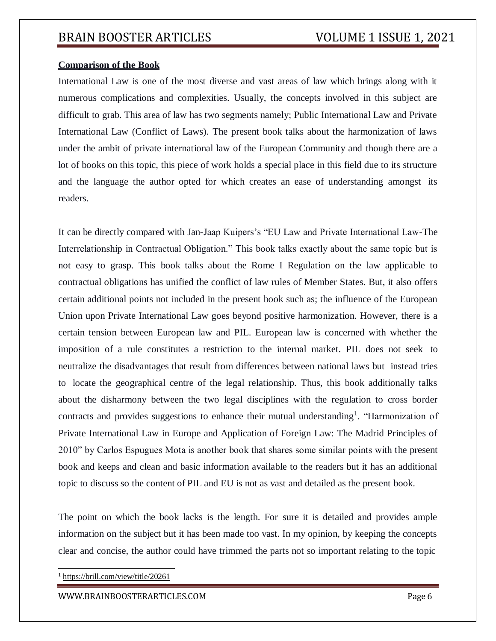### **Comparison of the Book**

International Law is one of the most diverse and vast areas of law which brings along with it numerous complications and complexities. Usually, the concepts involved in this subject are difficult to grab. This area of law has two segments namely; Public International Law and Private International Law (Conflict of Laws). The present book talks about the harmonization of laws under the ambit of private international law of the European Community and though there are a lot of books on this topic, this piece of work holds a special place in this field due to its structure and the language the author opted for which creates an ease of understanding amongst its readers.

It can be directly compared with Jan-Jaap Kuipers's "EU Law and Private International Law-The Interrelationship in Contractual Obligation." This book talks exactly about the same topic but is not easy to grasp. This book talks about the Rome I Regulation on the law applicable to contractual obligations has unified the conflict of law rules of Member States. But, it also offers certain additional points not included in the present book such as; the influence of the European Union upon Private International Law goes beyond positive harmonization. However, there is a certain tension between European law and PIL. European law is concerned with whether the imposition of a rule constitutes a restriction to the internal market. PIL does not seek to neutralize the disadvantages that result from differences between national laws but instead tries to locate the geographical centre of the legal relationship. Thus, this book additionally talks about the disharmony between the two legal disciplines with the regulation to cross border contracts and provides suggestions to enhance their mutual understanding<sup>1</sup>. "Harmonization of Private International Law in Europe and Application of Foreign Law: The Madrid Principles of 2010" by Carlos Espugues Mota is another book that shares some similar points with the present book and keeps and clean and basic information available to the readers but it has an additional topic to discuss so the content of PIL and EU is not as vast and detailed as the present book.

The point on which the book lacks is the length. For sure it is detailed and provides ample information on the subject but it has been made too vast. In my opinion, by keeping the concepts clear and concise, the author could have trimmed the parts not so important relating to the topic

<sup>1</sup> https://brill.com/view/title/20261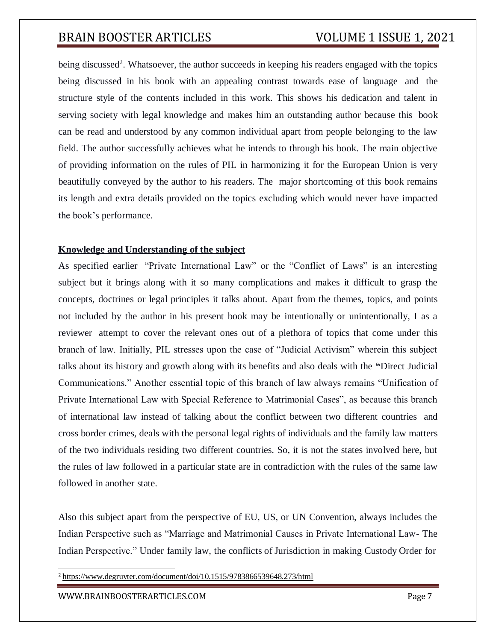being discussed<sup>2</sup>. Whatsoever, the author succeeds in keeping his readers engaged with the topics being discussed in his book with an appealing contrast towards ease of language and the structure style of the contents included in this work. This shows his dedication and talent in serving society with legal knowledge and makes him an outstanding author because this book can be read and understood by any common individual apart from people belonging to the law field. The author successfully achieves what he intends to through his book. The main objective of providing information on the rules of PIL in harmonizing it for the European Union is very beautifully conveyed by the author to his readers. The major shortcoming of this book remains its length and extra details provided on the topics excluding which would never have impacted the book's performance.

### **Knowledge and Understanding of the subject**

As specified earlier "Private International Law" or the "Conflict of Laws" is an interesting subject but it brings along with it so many complications and makes it difficult to grasp the concepts, doctrines or legal principles it talks about. Apart from the themes, topics, and points not included by the author in his present book may be intentionally or unintentionally, I as a reviewer attempt to cover the relevant ones out of a plethora of topics that come under this branch of law. Initially, PIL stresses upon the case of "Judicial Activism" wherein this subject talks about its history and growth along with its benefits and also deals with the **"**Direct Judicial Communications." Another essential topic of this branch of law always remains "Unification of Private International Law with Special Reference to Matrimonial Cases", as because this branch of international law instead of talking about the conflict between two different countries and cross border crimes, deals with the personal legal rights of individuals and the family law matters of the two individuals residing two different countries. So, it is not the states involved here, but the rules of law followed in a particular state are in contradiction with the rules of the same law followed in another state.

Also this subject apart from the perspective of EU, US, or UN Convention, always includes the Indian Perspective such as "Marriage and Matrimonial Causes in Private International Law- The Indian Perspective." Under family law, the conflicts of Jurisdiction in making Custody Order for

<sup>2</sup> https:/[/www.degruyter.com/document/doi/10.1515/9783866539648.273/html](http://www.degruyter.com/document/doi/10.1515/9783866539648.273/html)

[WWW.BRAINBOOSTERARTICLES.COM](http://www.brainboosterarticles.com/) Page 7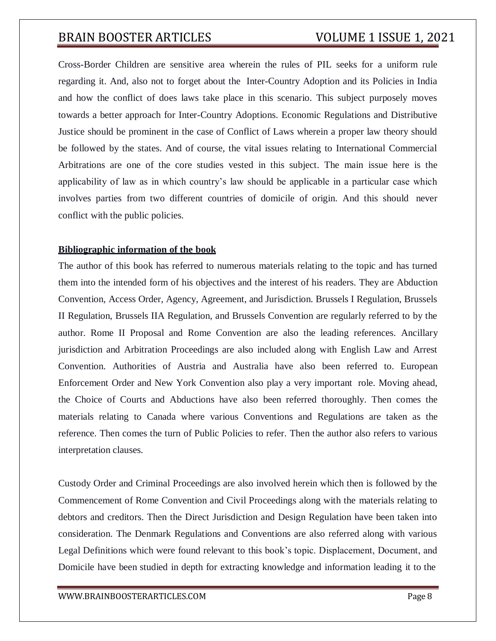Cross-Border Children are sensitive area wherein the rules of PIL seeks for a uniform rule regarding it. And, also not to forget about the Inter-Country Adoption and its Policies in India and how the conflict of does laws take place in this scenario. This subject purposely moves towards a better approach for Inter-Country Adoptions. Economic Regulations and Distributive Justice should be prominent in the case of Conflict of Laws wherein a proper law theory should be followed by the states. And of course, the vital issues relating to International Commercial Arbitrations are one of the core studies vested in this subject. The main issue here is the applicability of law as in which country's law should be applicable in a particular case which involves parties from two different countries of domicile of origin. And this should never conflict with the public policies.

### **Bibliographic information of the book**

The author of this book has referred to numerous materials relating to the topic and has turned them into the intended form of his objectives and the interest of his readers. They are Abduction Convention, Access Order, Agency, Agreement, and Jurisdiction. Brussels I Regulation, Brussels II Regulation, Brussels IIA Regulation, and Brussels Convention are regularly referred to by the author. Rome II Proposal and Rome Convention are also the leading references. Ancillary jurisdiction and Arbitration Proceedings are also included along with English Law and Arrest Convention. Authorities of Austria and Australia have also been referred to. European Enforcement Order and New York Convention also play a very important role. Moving ahead, the Choice of Courts and Abductions have also been referred thoroughly. Then comes the materials relating to Canada where various Conventions and Regulations are taken as the reference. Then comes the turn of Public Policies to refer. Then the author also refers to various interpretation clauses.

Custody Order and Criminal Proceedings are also involved herein which then is followed by the Commencement of Rome Convention and Civil Proceedings along with the materials relating to debtors and creditors. Then the Direct Jurisdiction and Design Regulation have been taken into consideration. The Denmark Regulations and Conventions are also referred along with various Legal Definitions which were found relevant to this book's topic. Displacement, Document, and Domicile have been studied in depth for extracting knowledge and information leading it to the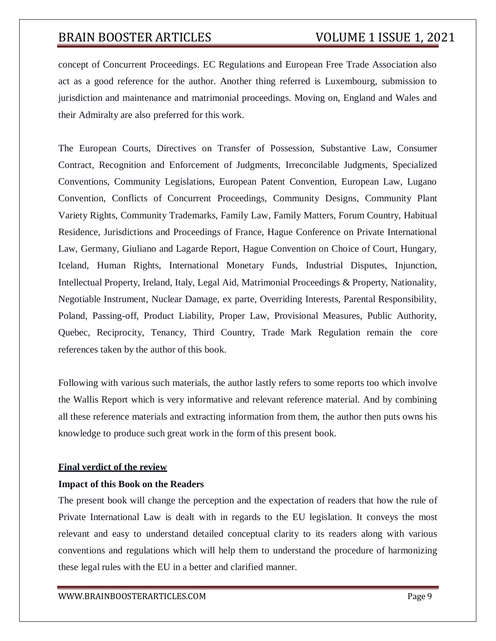concept of Concurrent Proceedings. EC Regulations and European Free Trade Association also act as a good reference for the author. Another thing referred is Luxembourg, submission to jurisdiction and maintenance and matrimonial proceedings. Moving on, England and Wales and their Admiralty are also preferred for this work.

The European Courts, Directives on Transfer of Possession, Substantive Law, Consumer Contract, Recognition and Enforcement of Judgments, Irreconcilable Judgments, Specialized Conventions, Community Legislations, European Patent Convention, European Law, Lugano Convention, Conflicts of Concurrent Proceedings, Community Designs, Community Plant Variety Rights, Community Trademarks, Family Law, Family Matters, Forum Country, Habitual Residence, Jurisdictions and Proceedings of France, Hague Conference on Private International Law, Germany, Giuliano and Lagarde Report, Hague Convention on Choice of Court, Hungary, Iceland, Human Rights, International Monetary Funds, Industrial Disputes, Injunction, Intellectual Property, Ireland, Italy, Legal Aid, Matrimonial Proceedings & Property, Nationality, Negotiable Instrument, Nuclear Damage, ex parte, Overriding Interests, Parental Responsibility, Poland, Passing-off, Product Liability, Proper Law, Provisional Measures, Public Authority, Quebec, Reciprocity, Tenancy, Third Country, Trade Mark Regulation remain the core references taken by the author of this book.

Following with various such materials, the author lastly refers to some reports too which involve the Wallis Report which is very informative and relevant reference material. And by combining all these reference materials and extracting information from them, the author then puts owns his knowledge to produce such great work in the form of this present book.

### **Final verdict of the review**

### **Impact of this Book on the Readers**

The present book will change the perception and the expectation of readers that how the rule of Private International Law is dealt with in regards to the EU legislation. It conveys the most relevant and easy to understand detailed conceptual clarity to its readers along with various conventions and regulations which will help them to understand the procedure of harmonizing these legal rules with the EU in a better and clarified manner.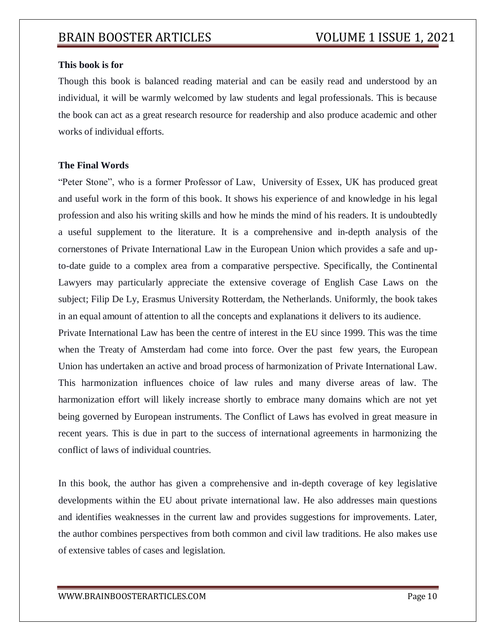### **This book is for**

Though this book is balanced reading material and can be easily read and understood by an individual, it will be warmly welcomed by law students and legal professionals. This is because the book can act as a great research resource for readership and also produce academic and other works of individual efforts.

### **The Final Words**

"Peter Stone", who is a former Professor of Law, University of Essex, UK has produced great and useful work in the form of this book. It shows his experience of and knowledge in his legal profession and also his writing skills and how he minds the mind of his readers. It is undoubtedly a useful supplement to the literature. It is a comprehensive and in-depth analysis of the cornerstones of Private International Law in the European Union which provides a safe and upto-date guide to a complex area from a comparative perspective. Specifically, the Continental Lawyers may particularly appreciate the extensive coverage of English Case Laws on the subject; Filip De Ly, Erasmus University Rotterdam, the Netherlands. Uniformly, the book takes in an equal amount of attention to all the concepts and explanations it delivers to its audience.

Private International Law has been the centre of interest in the EU since 1999. This was the time when the Treaty of Amsterdam had come into force. Over the past few years, the European Union has undertaken an active and broad process of harmonization of Private International Law. This harmonization influences choice of law rules and many diverse areas of law. The harmonization effort will likely increase shortly to embrace many domains which are not yet being governed by European instruments. The Conflict of Laws has evolved in great measure in recent years. This is due in part to the success of international agreements in harmonizing the conflict of laws of individual countries.

In this book, the author has given a comprehensive and in-depth coverage of key legislative developments within the EU about private international law. He also addresses main questions and identifies weaknesses in the current law and provides suggestions for improvements. Later, the author combines perspectives from both common and civil law traditions. He also makes use of extensive tables of cases and legislation.